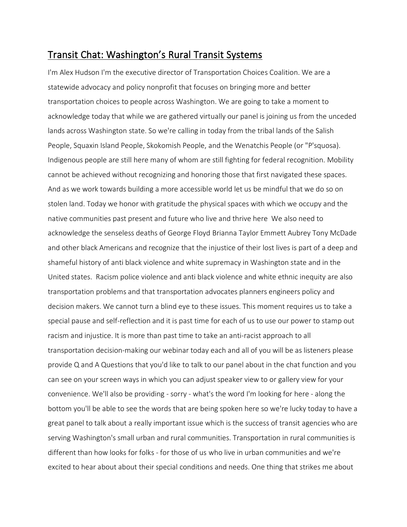## Transit Chat: Washington's Rural Transit Systems

I'm Alex Hudson I'm the executive director of Transportation Choices Coalition. We are a statewide advocacy and policy nonprofit that focuses on bringing more and better transportation choices to people across Washington. We are going to take a moment to acknowledge today that while we are gathered virtually our panel is joining us from the unceded lands across Washington state. So we're calling in today from the tribal lands of the Salish People, Squaxin Island People, Skokomish People, and the Wenatchis People (or "P'squosa). Indigenous people are still here many of whom are still fighting for federal recognition. Mobility cannot be achieved without recognizing and honoring those that first navigated these spaces. And as we work towards building a more accessible world let us be mindful that we do so on stolen land. Today we honor with gratitude the physical spaces with which we occupy and the native communities past present and future who live and thrive here We also need to acknowledge the senseless deaths of George Floyd Brianna Taylor Emmett Aubrey Tony McDade and other black Americans and recognize that the injustice of their lost lives is part of a deep and shameful history of anti black violence and white supremacy in Washington state and in the United states. Racism police violence and anti black violence and white ethnic inequity are also transportation problems and that transportation advocates planners engineers policy and decision makers. We cannot turn a blind eye to these issues. This moment requires us to take a special pause and self-reflection and it is past time for each of us to use our power to stamp out racism and injustice. It is more than past time to take an anti-racist approach to all transportation decision-making our webinar today each and all of you will be as listeners please provide Q and A Questions that you'd like to talk to our panel about in the chat function and you can see on your screen ways in which you can adjust speaker view to or gallery view for your convenience. We'll also be providing - sorry - what's the word I'm looking for here - along the bottom you'll be able to see the words that are being spoken here so we're lucky today to have a great panel to talk about a really important issue which is the success of transit agencies who are serving Washington's small urban and rural communities. Transportation in rural communities is different than how looks for folks - for those of us who live in urban communities and we're excited to hear about about their special conditions and needs. One thing that strikes me about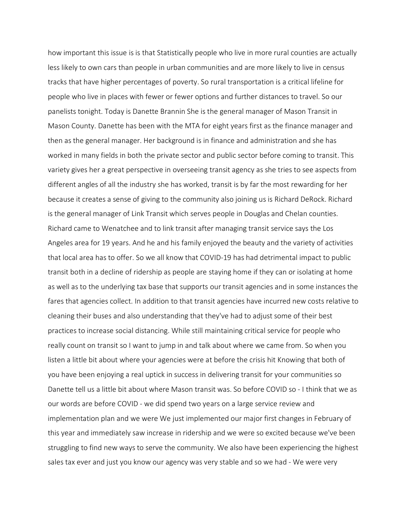how important this issue is is that Statistically people who live in more rural counties are actually less likely to own cars than people in urban communities and are more likely to live in census tracks that have higher percentages of poverty. So rural transportation is a critical lifeline for people who live in places with fewer or fewer options and further distances to travel. So our panelists tonight. Today is Danette Brannin She is the general manager of Mason Transit in Mason County. Danette has been with the MTA for eight years first as the finance manager and then as the general manager. Her background is in finance and administration and she has worked in many fields in both the private sector and public sector before coming to transit. This variety gives her a great perspective in overseeing transit agency as she tries to see aspects from different angles of all the industry she has worked, transit is by far the most rewarding for her because it creates a sense of giving to the community also joining us is Richard DeRock. Richard is the general manager of Link Transit which serves people in Douglas and Chelan counties. Richard came to Wenatchee and to link transit after managing transit service says the Los Angeles area for 19 years. And he and his family enjoyed the beauty and the variety of activities that local area has to offer. So we all know that COVID-19 has had detrimental impact to public transit both in a decline of ridership as people are staying home if they can or isolating at home as well as to the underlying tax base that supports our transit agencies and in some instances the fares that agencies collect. In addition to that transit agencies have incurred new costs relative to cleaning their buses and also understanding that they've had to adjust some of their best practices to increase social distancing. While still maintaining critical service for people who really count on transit so I want to jump in and talk about where we came from. So when you listen a little bit about where your agencies were at before the crisis hit Knowing that both of you have been enjoying a real uptick in success in delivering transit for your communities so Danette tell us a little bit about where Mason transit was. So before COVID so - I think that we as our words are before COVID - we did spend two years on a large service review and implementation plan and we were We just implemented our major first changes in February of this year and immediately saw increase in ridership and we were so excited because we've been struggling to find new ways to serve the community. We also have been experiencing the highest sales tax ever and just you know our agency was very stable and so we had - We were very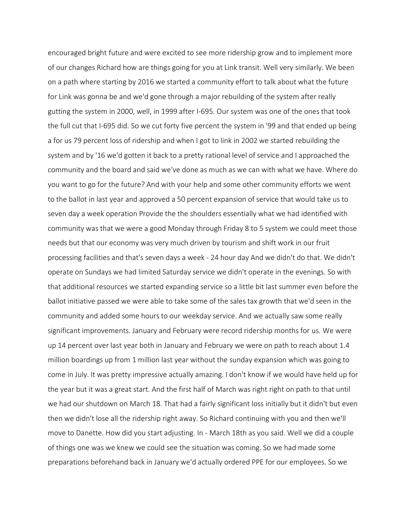encouraged bright future and were excited to see more ridership grow and to implement more of our changes Richard how are things going for you at Link transit. Well very similarly. We been on a path where starting by 2016 we started a community effort to talk about what the future for Link was gonna be and we'd gone through a major rebuilding of the system after really gutting the system in 2000, well, in 1999 after I-695. Our system was one of the ones that took the full cut that I-695 did. So we cut forty five percent the system in '99 and that ended up being a for us 79 percent loss of ridership and when I got to link in 2002 we started rebuilding the system and by '16 we'd gotten it back to a pretty rational level of service and I approached the community and the board and said we've done as much as we can with what we have. Where do you want to go for the future? And with your help and some other community efforts we went to the ballot in last year and approved a 50 percent expansion of service that would take us to seven day a week operation Provide the the shoulders essentially what we had identified with community was that we were a good Monday through Friday 8 to 5 system we could meet those needs but that our economy was very much driven by tourism and shift work in our fruit processing facilities and that's seven days a week - 24 hour day And we didn't do that. We didn't operate on Sundays we had limited Saturday service we didn't operate in the evenings. So with that additional resources we started expanding service so a little bit last summer even before the ballot initiative passed we were able to take some of the sales tax growth that we'd seen in the community and added some hours to our weekday service. And we actually saw some really significant improvements. January and February were record ridership months for us. We were up 14 percent over last year both in January and February we were on path to reach about 1.4 million boardings up from 1 million last year without the sunday expansion which was going to come in July. It was pretty impressive actually amazing. I don't know if we would have held up for the year but it was a great start. And the first half of March was right right on path to that until we had our shutdown on March 18. That had a fairly significant loss initially but it didn't but even then we didn't lose all the ridership right away. So Richard continuing with you and then we'll move to Danette. How did you start adjusting. In - March 18th as you said. Well we did a couple of things one was we knew we could see the situation was coming. So we had made some preparations beforehand back in January we'd actually ordered PPE for our employees. So we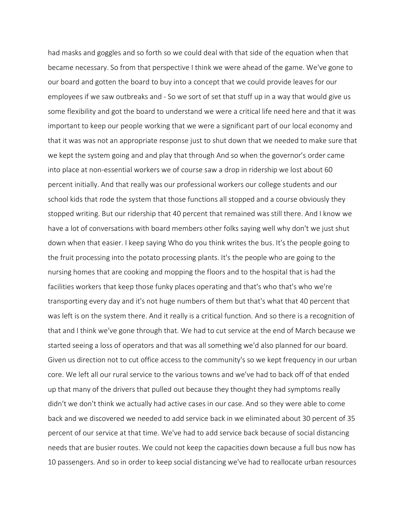had masks and goggles and so forth so we could deal with that side of the equation when that became necessary. So from that perspective I think we were ahead of the game. We've gone to our board and gotten the board to buy into a concept that we could provide leaves for our employees if we saw outbreaks and - So we sort of set that stuff up in a way that would give us some flexibility and got the board to understand we were a critical life need here and that it was important to keep our people working that we were a significant part of our local economy and that it was was not an appropriate response just to shut down that we needed to make sure that we kept the system going and and play that through And so when the governor's order came into place at non-essential workers we of course saw a drop in ridership we lost about 60 percent initially. And that really was our professional workers our college students and our school kids that rode the system that those functions all stopped and a course obviously they stopped writing. But our ridership that 40 percent that remained was still there. And I know we have a lot of conversations with board members other folks saying well why don't we just shut down when that easier. I keep saying Who do you think writes the bus. It's the people going to the fruit processing into the potato processing plants. It's the people who are going to the nursing homes that are cooking and mopping the floors and to the hospital that is had the facilities workers that keep those funky places operating and that's who that's who we're transporting every day and it's not huge numbers of them but that's what that 40 percent that was left is on the system there. And it really is a critical function. And so there is a recognition of that and I think we've gone through that. We had to cut service at the end of March because we started seeing a loss of operators and that was all something we'd also planned for our board. Given us direction not to cut office access to the community's so we kept frequency in our urban core. We left all our rural service to the various towns and we've had to back off of that ended up that many of the drivers that pulled out because they thought they had symptoms really didn't we don't think we actually had active cases in our case. And so they were able to come back and we discovered we needed to add service back in we eliminated about 30 percent of 35 percent of our service at that time. We've had to add service back because of social distancing needs that are busier routes. We could not keep the capacities down because a full bus now has 10 passengers. And so in order to keep social distancing we've had to reallocate urban resources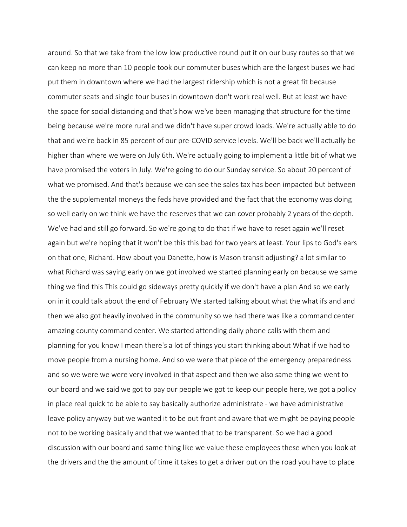around. So that we take from the low low productive round put it on our busy routes so that we can keep no more than 10 people took our commuter buses which are the largest buses we had put them in downtown where we had the largest ridership which is not a great fit because commuter seats and single tour buses in downtown don't work real well. But at least we have the space for social distancing and that's how we've been managing that structure for the time being because we're more rural and we didn't have super crowd loads. We're actually able to do that and we're back in 85 percent of our pre-COVID service levels. We'll be back we'll actually be higher than where we were on July 6th. We're actually going to implement a little bit of what we have promised the voters in July. We're going to do our Sunday service. So about 20 percent of what we promised. And that's because we can see the sales tax has been impacted but between the the supplemental moneys the feds have provided and the fact that the economy was doing so well early on we think we have the reserves that we can cover probably 2 years of the depth. We've had and still go forward. So we're going to do that if we have to reset again we'll reset again but we're hoping that it won't be this this bad for two years at least. Your lips to God's ears on that one, Richard. How about you Danette, how is Mason transit adjusting? a lot similar to what Richard was saying early on we got involved we started planning early on because we same thing we find this This could go sideways pretty quickly if we don't have a plan And so we early on in it could talk about the end of February We started talking about what the what ifs and and then we also got heavily involved in the community so we had there was like a command center amazing county command center. We started attending daily phone calls with them and planning for you know I mean there's a lot of things you start thinking about What if we had to move people from a nursing home. And so we were that piece of the emergency preparedness and so we were we were very involved in that aspect and then we also same thing we went to our board and we said we got to pay our people we got to keep our people here, we got a policy in place real quick to be able to say basically authorize administrate - we have administrative leave policy anyway but we wanted it to be out front and aware that we might be paying people not to be working basically and that we wanted that to be transparent. So we had a good discussion with our board and same thing like we value these employees these when you look at the drivers and the the amount of time it takes to get a driver out on the road you have to place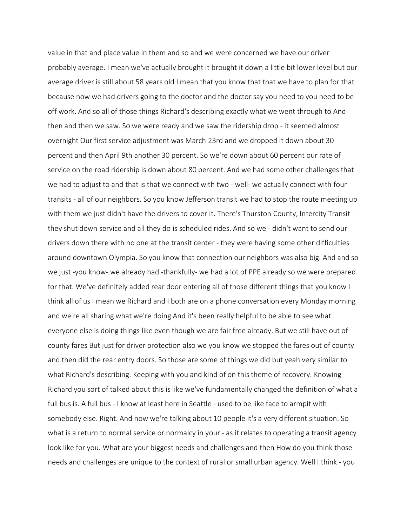value in that and place value in them and so and we were concerned we have our driver probably average. I mean we've actually brought it brought it down a little bit lower level but our average driver is still about 58 years old I mean that you know that that we have to plan for that because now we had drivers going to the doctor and the doctor say you need to you need to be off work. And so all of those things Richard's describing exactly what we went through to And then and then we saw. So we were ready and we saw the ridership drop - it seemed almost overnight Our first service adjustment was March 23rd and we dropped it down about 30 percent and then April 9th another 30 percent. So we're down about 60 percent our rate of service on the road ridership is down about 80 percent. And we had some other challenges that we had to adjust to and that is that we connect with two - well- we actually connect with four transits - all of our neighbors. So you know Jefferson transit we had to stop the route meeting up with them we just didn't have the drivers to cover it. There's Thurston County, Intercity Transit they shut down service and all they do is scheduled rides. And so we - didn't want to send our drivers down there with no one at the transit center - they were having some other difficulties around downtown Olympia. So you know that connection our neighbors was also big. And and so we just -you know- we already had -thankfully- we had a lot of PPE already so we were prepared for that. We've definitely added rear door entering all of those different things that you know I think all of us I mean we Richard and I both are on a phone conversation every Monday morning and we're all sharing what we're doing And it's been really helpful to be able to see what everyone else is doing things like even though we are fair free already. But we still have out of county fares But just for driver protection also we you know we stopped the fares out of county and then did the rear entry doors. So those are some of things we did but yeah very similar to what Richard's describing. Keeping with you and kind of on this theme of recovery. Knowing Richard you sort of talked about this is like we've fundamentally changed the definition of what a full bus is. A full bus - I know at least here in Seattle - used to be like face to armpit with somebody else. Right. And now we're talking about 10 people it's a very different situation. So what is a return to normal service or normalcy in your - as it relates to operating a transit agency look like for you. What are your biggest needs and challenges and then How do you think those needs and challenges are unique to the context of rural or small urban agency. Well I think - you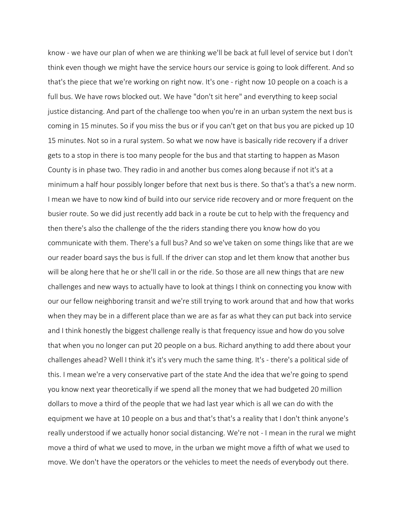know - we have our plan of when we are thinking we'll be back at full level of service but I don't think even though we might have the service hours our service is going to look different. And so that's the piece that we're working on right now. It's one - right now 10 people on a coach is a full bus. We have rows blocked out. We have "don't sit here" and everything to keep social justice distancing. And part of the challenge too when you're in an urban system the next bus is coming in 15 minutes. So if you miss the bus or if you can't get on that bus you are picked up 10 15 minutes. Not so in a rural system. So what we now have is basically ride recovery if a driver gets to a stop in there is too many people for the bus and that starting to happen as Mason County is in phase two. They radio in and another bus comes along because if not it's at a minimum a half hour possibly longer before that next bus is there. So that's a that's a new norm. I mean we have to now kind of build into our service ride recovery and or more frequent on the busier route. So we did just recently add back in a route be cut to help with the frequency and then there's also the challenge of the the riders standing there you know how do you communicate with them. There's a full bus? And so we've taken on some things like that are we our reader board says the bus is full. If the driver can stop and let them know that another bus will be along here that he or she'll call in or the ride. So those are all new things that are new challenges and new ways to actually have to look at things I think on connecting you know with our our fellow neighboring transit and we're still trying to work around that and how that works when they may be in a different place than we are as far as what they can put back into service and I think honestly the biggest challenge really is that frequency issue and how do you solve that when you no longer can put 20 people on a bus. Richard anything to add there about your challenges ahead? Well I think it's it's very much the same thing. It's - there's a political side of this. I mean we're a very conservative part of the state And the idea that we're going to spend you know next year theoretically if we spend all the money that we had budgeted 20 million dollars to move a third of the people that we had last year which is all we can do with the equipment we have at 10 people on a bus and that's that's a reality that I don't think anyone's really understood if we actually honor social distancing. We're not - I mean in the rural we might move a third of what we used to move, in the urban we might move a fifth of what we used to move. We don't have the operators or the vehicles to meet the needs of everybody out there.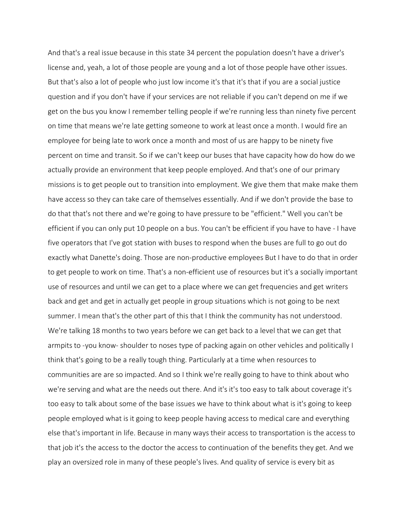And that's a real issue because in this state 34 percent the population doesn't have a driver's license and, yeah, a lot of those people are young and a lot of those people have other issues. But that's also a lot of people who just low income it's that it's that if you are a social justice question and if you don't have if your services are not reliable if you can't depend on me if we get on the bus you know I remember telling people if we're running less than ninety five percent on time that means we're late getting someone to work at least once a month. I would fire an employee for being late to work once a month and most of us are happy to be ninety five percent on time and transit. So if we can't keep our buses that have capacity how do how do we actually provide an environment that keep people employed. And that's one of our primary missions is to get people out to transition into employment. We give them that make make them have access so they can take care of themselves essentially. And if we don't provide the base to do that that's not there and we're going to have pressure to be "efficient." Well you can't be efficient if you can only put 10 people on a bus. You can't be efficient if you have to have - I have five operators that I've got station with buses to respond when the buses are full to go out do exactly what Danette's doing. Those are non-productive employees But I have to do that in order to get people to work on time. That's a non-efficient use of resources but it's a socially important use of resources and until we can get to a place where we can get frequencies and get writers back and get and get in actually get people in group situations which is not going to be next summer. I mean that's the other part of this that I think the community has not understood. We're talking 18 months to two years before we can get back to a level that we can get that armpits to -you know- shoulder to noses type of packing again on other vehicles and politically I think that's going to be a really tough thing. Particularly at a time when resources to communities are are so impacted. And so I think we're really going to have to think about who we're serving and what are the needs out there. And it's it's too easy to talk about coverage it's too easy to talk about some of the base issues we have to think about what is it's going to keep people employed what is it going to keep people having access to medical care and everything else that's important in life. Because in many ways their access to transportation is the access to that job it's the access to the doctor the access to continuation of the benefits they get. And we play an oversized role in many of these people's lives. And quality of service is every bit as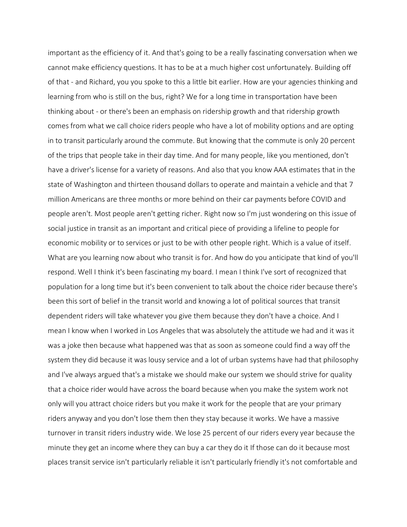important as the efficiency of it. And that's going to be a really fascinating conversation when we cannot make efficiency questions. It has to be at a much higher cost unfortunately. Building off of that - and Richard, you you spoke to this a little bit earlier. How are your agencies thinking and learning from who is still on the bus, right? We for a long time in transportation have been thinking about - or there's been an emphasis on ridership growth and that ridership growth comes from what we call choice riders people who have a lot of mobility options and are opting in to transit particularly around the commute. But knowing that the commute is only 20 percent of the trips that people take in their day time. And for many people, like you mentioned, don't have a driver's license for a variety of reasons. And also that you know AAA estimates that in the state of Washington and thirteen thousand dollars to operate and maintain a vehicle and that 7 million Americans are three months or more behind on their car payments before COVID and people aren't. Most people aren't getting richer. Right now so I'm just wondering on this issue of social justice in transit as an important and critical piece of providing a lifeline to people for economic mobility or to services or just to be with other people right. Which is a value of itself. What are you learning now about who transit is for. And how do you anticipate that kind of you'll respond. Well I think it's been fascinating my board. I mean I think I've sort of recognized that population for a long time but it's been convenient to talk about the choice rider because there's been this sort of belief in the transit world and knowing a lot of political sources that transit dependent riders will take whatever you give them because they don't have a choice. And I mean I know when I worked in Los Angeles that was absolutely the attitude we had and it was it was a joke then because what happened was that as soon as someone could find a way off the system they did because it was lousy service and a lot of urban systems have had that philosophy and I've always argued that's a mistake we should make our system we should strive for quality that a choice rider would have across the board because when you make the system work not only will you attract choice riders but you make it work for the people that are your primary riders anyway and you don't lose them then they stay because it works. We have a massive turnover in transit riders industry wide. We lose 25 percent of our riders every year because the minute they get an income where they can buy a car they do it If those can do it because most places transit service isn't particularly reliable it isn't particularly friendly it's not comfortable and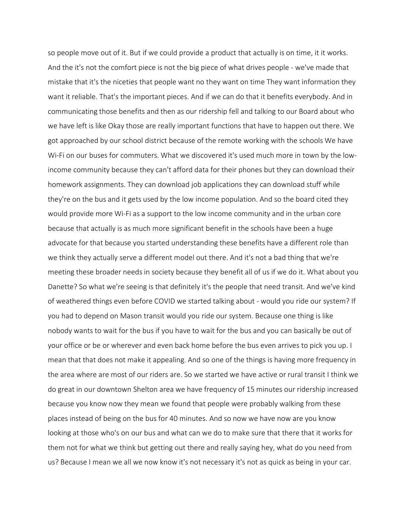so people move out of it. But if we could provide a product that actually is on time, it it works. And the it's not the comfort piece is not the big piece of what drives people - we've made that mistake that it's the niceties that people want no they want on time They want information they want it reliable. That's the important pieces. And if we can do that it benefits everybody. And in communicating those benefits and then as our ridership fell and talking to our Board about who we have left is like Okay those are really important functions that have to happen out there. We got approached by our school district because of the remote working with the schools We have Wi-Fi on our buses for commuters. What we discovered it's used much more in town by the lowincome community because they can't afford data for their phones but they can download their homework assignments. They can download job applications they can download stuff while they're on the bus and it gets used by the low income population. And so the board cited they would provide more Wi-Fi as a support to the low income community and in the urban core because that actually is as much more significant benefit in the schools have been a huge advocate for that because you started understanding these benefits have a different role than we think they actually serve a different model out there. And it's not a bad thing that we're meeting these broader needs in society because they benefit all of us if we do it. What about you Danette? So what we're seeing is that definitely it's the people that need transit. And we've kind of weathered things even before COVID we started talking about - would you ride our system? If you had to depend on Mason transit would you ride our system. Because one thing is like nobody wants to wait for the bus if you have to wait for the bus and you can basically be out of your office or be or wherever and even back home before the bus even arrives to pick you up. I mean that that does not make it appealing. And so one of the things is having more frequency in the area where are most of our riders are. So we started we have active or rural transit I think we do great in our downtown Shelton area we have frequency of 15 minutes our ridership increased because you know now they mean we found that people were probably walking from these places instead of being on the bus for 40 minutes. And so now we have now are you know looking at those who's on our bus and what can we do to make sure that there that it works for them not for what we think but getting out there and really saying hey, what do you need from us? Because I mean we all we now know it's not necessary it's not as quick as being in your car.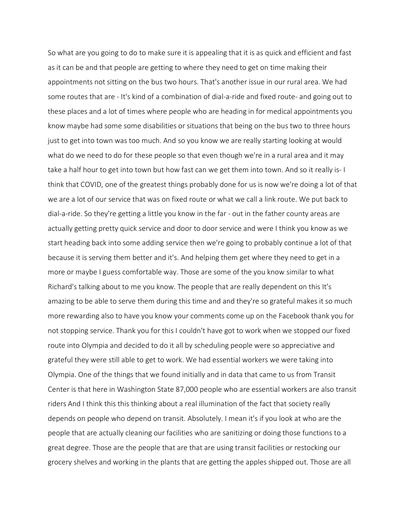So what are you going to do to make sure it is appealing that it is as quick and efficient and fast as it can be and that people are getting to where they need to get on time making their appointments not sitting on the bus two hours. That's another issue in our rural area. We had some routes that are - It's kind of a combination of dial-a-ride and fixed route- and going out to these places and a lot of times where people who are heading in for medical appointments you know maybe had some some disabilities or situations that being on the bus two to three hours just to get into town was too much. And so you know we are really starting looking at would what do we need to do for these people so that even though we're in a rural area and it may take a half hour to get into town but how fast can we get them into town. And so it really is- I think that COVID, one of the greatest things probably done for us is now we're doing a lot of that we are a lot of our service that was on fixed route or what we call a link route. We put back to dial-a-ride. So they're getting a little you know in the far - out in the father county areas are actually getting pretty quick service and door to door service and were I think you know as we start heading back into some adding service then we're going to probably continue a lot of that because it is serving them better and it's. And helping them get where they need to get in a more or maybe I guess comfortable way. Those are some of the you know similar to what Richard's talking about to me you know. The people that are really dependent on this It's amazing to be able to serve them during this time and and they're so grateful makes it so much more rewarding also to have you know your comments come up on the Facebook thank you for not stopping service. Thank you for this I couldn't have got to work when we stopped our fixed route into Olympia and decided to do it all by scheduling people were so appreciative and grateful they were still able to get to work. We had essential workers we were taking into Olympia. One of the things that we found initially and in data that came to us from Transit Center is that here in Washington State 87,000 people who are essential workers are also transit riders And I think this this thinking about a real illumination of the fact that society really depends on people who depend on transit. Absolutely. I mean it's if you look at who are the people that are actually cleaning our facilities who are sanitizing or doing those functions to a great degree. Those are the people that are that are using transit facilities or restocking our grocery shelves and working in the plants that are getting the apples shipped out. Those are all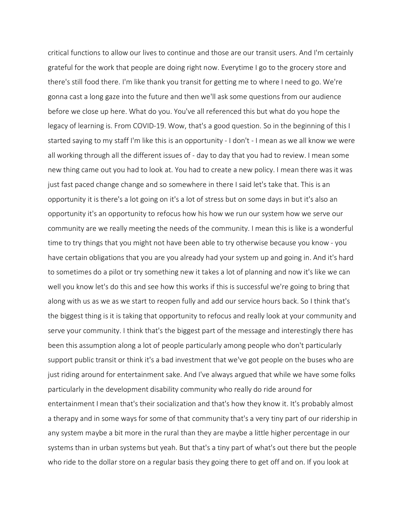critical functions to allow our lives to continue and those are our transit users. And I'm certainly grateful for the work that people are doing right now. Everytime I go to the grocery store and there's still food there. I'm like thank you transit for getting me to where I need to go. We're gonna cast a long gaze into the future and then we'll ask some questions from our audience before we close up here. What do you. You've all referenced this but what do you hope the legacy of learning is. From COVID-19. Wow, that's a good question. So in the beginning of this I started saying to my staff I'm like this is an opportunity - I don't - I mean as we all know we were all working through all the different issues of - day to day that you had to review. I mean some new thing came out you had to look at. You had to create a new policy. I mean there was it was just fast paced change change and so somewhere in there I said let's take that. This is an opportunity it is there's a lot going on it's a lot of stress but on some days in but it's also an opportunity it's an opportunity to refocus how his how we run our system how we serve our community are we really meeting the needs of the community. I mean this is like is a wonderful time to try things that you might not have been able to try otherwise because you know - you have certain obligations that you are you already had your system up and going in. And it's hard to sometimes do a pilot or try something new it takes a lot of planning and now it's like we can well you know let's do this and see how this works if this is successful we're going to bring that along with us as we as we start to reopen fully and add our service hours back. So I think that's the biggest thing is it is taking that opportunity to refocus and really look at your community and serve your community. I think that's the biggest part of the message and interestingly there has been this assumption along a lot of people particularly among people who don't particularly support public transit or think it's a bad investment that we've got people on the buses who are just riding around for entertainment sake. And I've always argued that while we have some folks particularly in the development disability community who really do ride around for entertainment I mean that's their socialization and that's how they know it. It's probably almost a therapy and in some ways for some of that community that's a very tiny part of our ridership in any system maybe a bit more in the rural than they are maybe a little higher percentage in our systems than in urban systems but yeah. But that's a tiny part of what's out there but the people who ride to the dollar store on a regular basis they going there to get off and on. If you look at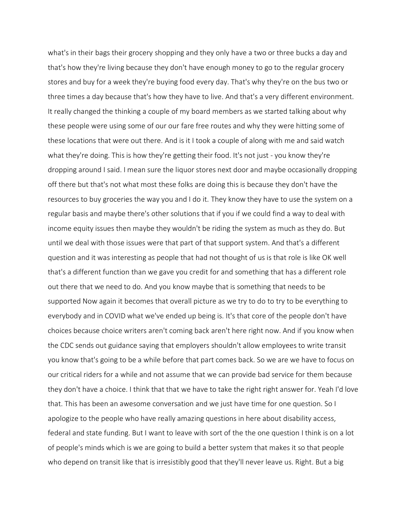what's in their bags their grocery shopping and they only have a two or three bucks a day and that's how they're living because they don't have enough money to go to the regular grocery stores and buy for a week they're buying food every day. That's why they're on the bus two or three times a day because that's how they have to live. And that's a very different environment. It really changed the thinking a couple of my board members as we started talking about why these people were using some of our our fare free routes and why they were hitting some of these locations that were out there. And is it I took a couple of along with me and said watch what they're doing. This is how they're getting their food. It's not just - you know they're dropping around I said. I mean sure the liquor stores next door and maybe occasionally dropping off there but that's not what most these folks are doing this is because they don't have the resources to buy groceries the way you and I do it. They know they have to use the system on a regular basis and maybe there's other solutions that if you if we could find a way to deal with income equity issues then maybe they wouldn't be riding the system as much as they do. But until we deal with those issues were that part of that support system. And that's a different question and it was interesting as people that had not thought of us is that role is like OK well that's a different function than we gave you credit for and something that has a different role out there that we need to do. And you know maybe that is something that needs to be supported Now again it becomes that overall picture as we try to do to try to be everything to everybody and in COVID what we've ended up being is. It's that core of the people don't have choices because choice writers aren't coming back aren't here right now. And if you know when the CDC sends out guidance saying that employers shouldn't allow employees to write transit you know that's going to be a while before that part comes back. So we are we have to focus on our critical riders for a while and not assume that we can provide bad service for them because they don't have a choice. I think that that we have to take the right right answer for. Yeah I'd love that. This has been an awesome conversation and we just have time for one question. So I apologize to the people who have really amazing questions in here about disability access, federal and state funding. But I want to leave with sort of the the one question I think is on a lot of people's minds which is we are going to build a better system that makes it so that people who depend on transit like that is irresistibly good that they'll never leave us. Right. But a big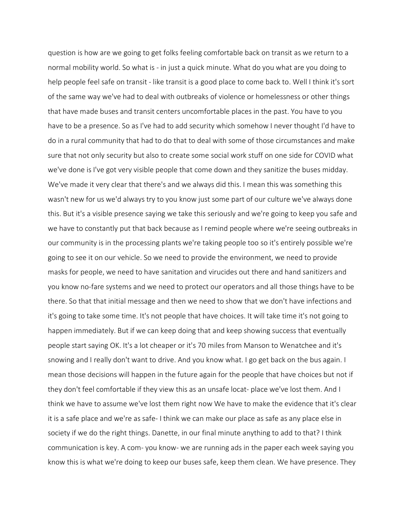question is how are we going to get folks feeling comfortable back on transit as we return to a normal mobility world. So what is - in just a quick minute. What do you what are you doing to help people feel safe on transit - like transit is a good place to come back to. Well I think it's sort of the same way we've had to deal with outbreaks of violence or homelessness or other things that have made buses and transit centers uncomfortable places in the past. You have to you have to be a presence. So as I've had to add security which somehow I never thought I'd have to do in a rural community that had to do that to deal with some of those circumstances and make sure that not only security but also to create some social work stuff on one side for COVID what we've done is I've got very visible people that come down and they sanitize the buses midday. We've made it very clear that there's and we always did this. I mean this was something this wasn't new for us we'd always try to you know just some part of our culture we've always done this. But it's a visible presence saying we take this seriously and we're going to keep you safe and we have to constantly put that back because as I remind people where we're seeing outbreaks in our community is in the processing plants we're taking people too so it's entirely possible we're going to see it on our vehicle. So we need to provide the environment, we need to provide masks for people, we need to have sanitation and virucides out there and hand sanitizers and you know no-fare systems and we need to protect our operators and all those things have to be there. So that that initial message and then we need to show that we don't have infections and it's going to take some time. It's not people that have choices. It will take time it's not going to happen immediately. But if we can keep doing that and keep showing success that eventually people start saying OK. It's a lot cheaper or it's 70 miles from Manson to Wenatchee and it's snowing and I really don't want to drive. And you know what. I go get back on the bus again. I mean those decisions will happen in the future again for the people that have choices but not if they don't feel comfortable if they view this as an unsafe locat- place we've lost them. And I think we have to assume we've lost them right now We have to make the evidence that it's clear it is a safe place and we're as safe- I think we can make our place as safe as any place else in society if we do the right things. Danette, in our final minute anything to add to that? I think communication is key. A com- you know- we are running ads in the paper each week saying you know this is what we're doing to keep our buses safe, keep them clean. We have presence. They